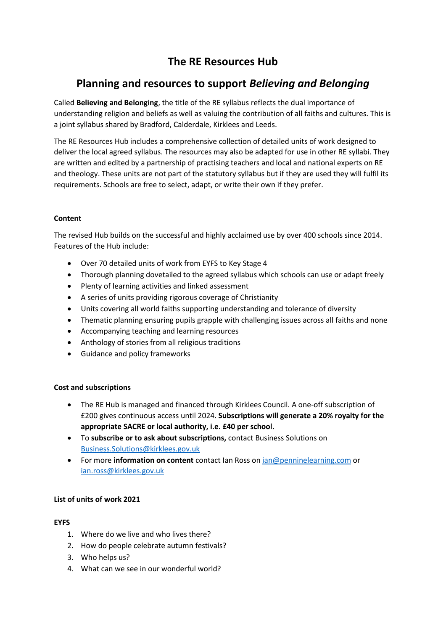# **The RE Resources Hub**

## **Planning and resources to support** *Believing and Belonging*

Called **Believing and Belonging**, the title of the RE syllabus reflects the dual importance of understanding religion and beliefs as well as valuing the contribution of all faiths and cultures. This is a joint syllabus shared by Bradford, Calderdale, Kirklees and Leeds.

The RE Resources Hub includes a comprehensive collection of detailed units of work designed to deliver the local agreed syllabus. The resources may also be adapted for use in other RE syllabi. They are written and edited by a partnership of practising teachers and local and national experts on RE and theology. These units are not part of the statutory syllabus but if they are used they will fulfil its requirements. Schools are free to select, adapt, or write their own if they prefer.

## **Content**

The revised Hub builds on the successful and highly acclaimed use by over 400 schools since 2014. Features of the Hub include:

- Over 70 detailed units of work from EYFS to Key Stage 4
- Thorough planning dovetailed to the agreed syllabus which schools can use or adapt freely
- Plenty of learning activities and linked assessment
- A series of units providing rigorous coverage of Christianity
- Units covering all world faiths supporting understanding and tolerance of diversity
- Thematic planning ensuring pupils grapple with challenging issues across all faiths and none
- Accompanying teaching and learning resources
- Anthology of stories from all religious traditions
- Guidance and policy frameworks

## **Cost and subscriptions**

- The RE Hub is managed and financed through Kirklees Council. A one-off subscription of £200 gives continuous access until 2024. **Subscriptions will generate a 20% royalty for the appropriate SACRE or local authority, i.e. £40 per school.**
- To **subscribe or to ask about subscriptions,** contact Business Solutions on [Business.Solutions@kirklees.gov.uk](mailto:Business.Solutions@kirklees.gov.uk)
- For more **information on content** contact Ian Ross on [ian@penninelearning.com](mailto:ian@penninelearning.com) or [ian.ross@kirklees.gov.uk](mailto:ian.ross@kirklees.gov.uk)

## **List of units of work 2021**

#### **EYFS**

- 1. Where do we live and who lives there?
- 2. How do people celebrate autumn festivals?
- 3. Who helps us?
- 4. What can we see in our wonderful world?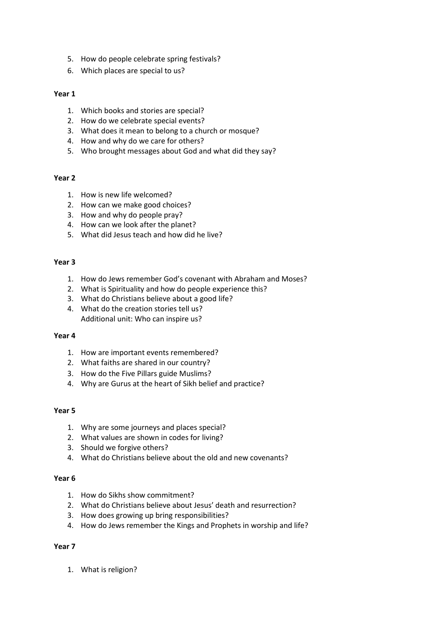- 5. How do people celebrate spring festivals?
- 6. Which places are special to us?

#### **Year 1**

- 1. Which books and stories are special?
- 2. How do we celebrate special events?
- 3. What does it mean to belong to a church or mosque?
- 4. How and why do we care for others?
- 5. Who brought messages about God and what did they say?

#### **Year 2**

- 1. How is new life welcomed?
- 2. How can we make good choices?
- 3. How and why do people pray?
- 4. How can we look after the planet?
- 5. What did Jesus teach and how did he live?

#### **Year 3**

- 1. How do Jews remember God's covenant with Abraham and Moses?
- 2. What is Spirituality and how do people experience this?
- 3. What do Christians believe about a good life?
- 4. What do the creation stories tell us? Additional unit: Who can inspire us?

#### **Year 4**

- 1. How are important events remembered?
- 2. What faiths are shared in our country?
- 3. How do the Five Pillars guide Muslims?
- 4. Why are Gurus at the heart of Sikh belief and practice?

#### **Year 5**

- 1. Why are some journeys and places special?
- 2. What values are shown in codes for living?
- 3. Should we forgive others?
- 4. What do Christians believe about the old and new covenants?

#### **Year 6**

- 1. How do Sikhs show commitment?
- 2. What do Christians believe about Jesus' death and resurrection?
- 3. How does growing up bring responsibilities?
- 4. How do Jews remember the Kings and Prophets in worship and life?

#### **Year 7**

1. What is religion?